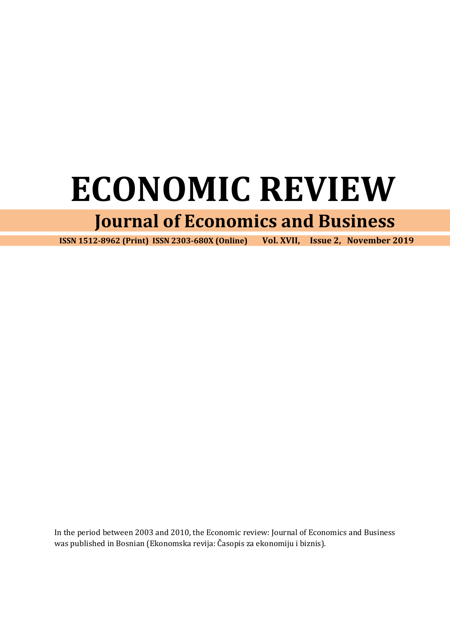# **ECONOMIC REVIEW**

# **Journal of Economics and Business**

 **ISSN 1512-8962 (Print) ISSN 2303-680X (Online) Vol. XVII, Issue 2, November 2019**

In the period between 2003 and 2010, the Economic review: Journal of Economics and Business was published in Bosnian (Ekonomska revija: Časopis za ekonomiju i biznis).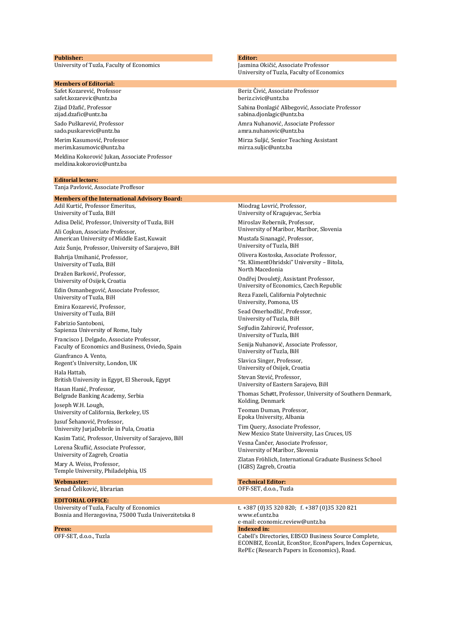#### **Publisher:**

University of Tuzla, Faculty of Economics

#### **Members of Editorial:**

Safet Kozarević, Professor safet.kozarevic@untz.ba Zijad Džafić, Professor zijad.dzafic@untz.ba Sado Puškarević, Professor sado.puskarevic@untz.ba Merim Kasumović, Professor merim.kasumovic@untz.ba Meldina Kokorović Jukan, Associate Professor [meldina.kokorovic@untz.ba](mailto:meldina.kokorovic@untz.ba)

#### **Editorial lectors:**

Tanja Pavlović, Associate Proffesor

#### **Members of the International Advisory Board:**

Adil Kurtić, Professor Emeritus, University of Tuzla, BiH Adisa Delić, Professor, University of Tuzla, BiH Ali Coşkun, Associate Professor, American University of Middle East, Kuwait Aziz Šunje, Professor, University of Sarajevo, BiH Bahrija Umihanić, Professor, University of Tuzla, BiH Dražen Barković, Professor, University of Osijek, Croatia Edin Osmanbegović, Associate Professor, University of Tuzla, BiH Emira Kozarević, Professor, University of Tuzla, BiH Fabrizio Santoboni, Sapienza University of Rome, Italy Francisco J. Delgado, Associate Professor, Faculty of Economics and Business, Oviedo, Spain Gianfranco A. Vento, Regent's University, London, UK Hala Hattab, British University in Egypt, El Sherouk, Egypt Hasan Hanić, Professor, Belgrade Banking Academy, Serbia Joseph W.H. Lough, University of California, Berkeley, US Jusuf Šehanović, Professor, University JurjaDobrile in Pula, Croatia Kasim Tatić, Professor, University of Sarajevo, BiH Lorena Škuflić, Associate Professor, University of Zagreb, Croatia Mary A. Weiss, Professor, Temple University, Philadelphia, US

**Webmaster:** Senad Čeliković, librarian

#### **EDITORIAL OFFICE:**

University of Tuzla, Faculty of Economics Bosnia and Herzegovina, 75000 Tuzla Univerzitetska 8

**Press:** OFF-SET, d.o.o., Tuzla

#### **Editor:**

Jasmina Okičić, Associate Professor University of Tuzla, Faculty of Economics

Beriz Čivić, Associate Professor beriz.civic@untz.ba Sabina Đonlagić Alibegović, Associate Professor sabina.djonlagic@untz.ba Amra Nuhanović, Associate Professor amra.nuhanovic@untz.ba Mirza Suljić, Senior Teaching Assistant [mirza.suljic@untz.ba](mailto:mirza.suljic@untz.ba)

#### Miodrag Lovrić, Professor,

University of Kragujevac, Serbia Miroslav Rebernik, Professor, University of Maribor, Maribor, Slovenia Mustafa Sinanagić, Professor,

University of Tuzla, BiH

Olivera Kostoska, Associate Professor, "St. KlimentOhridski" University – Bitola, North Macedonia

Ondřej Dvouletý, Assistant Professor, University of Economics, Czech Republic

Reza Fazeli, California Polytechnic University, Pomona, US

Sead Omerhodžić, Professor, University of Tuzla, BiH

Sejfudin Zahirović, Professor, University of Tuzla, BiH

Senija Nuhanović, Associate Professor, University of Tuzla, BiH

Slavica Singer, Professor, University of Osijek, Croatia

Stevan Stević, Professor, University of Eastern Sarajevo, BiH

Thomas Schøtt, Professor, University of Southern Denmark, Kolding, Denmark

Teoman Duman, Professor, Epoka University, Albania

Tim Query, Associate Professor, New Mexico State University, Las Cruces, US

Vesna Čančer, Associate Professor,

University of Maribor, Slovenia

Zlatan Fröhlich, International Graduate Business School (IGBS) Zagreb, Croatia

## **Technical Editor:**

OFF-SET, d.o.o., Tuzla

t. +387 (0)35 320 820; f. +387 (0)35 320 821 www.ef.untz.ba e-mail: economic.review@untz.ba **Indexed in:**  Cabell's Directories, EBSCO Business Source Complete,

ECONBIZ, EconLit, EconStor, EconPapers, Index Copernicus, RePEc (Research Papers in Economics), Road.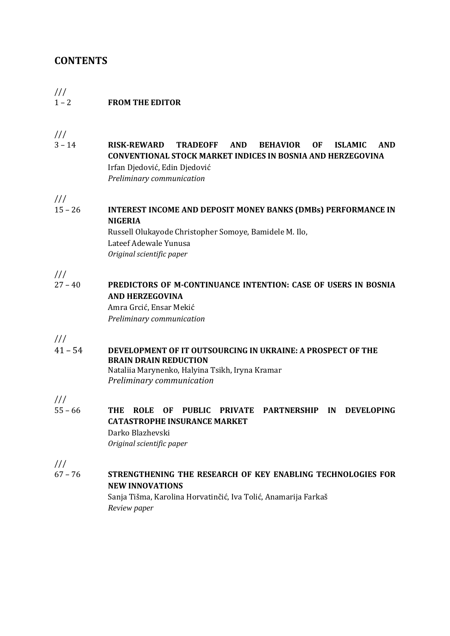# **CONTENTS**

### /// 1 – 2 **FROM THE EDITOR**

///

3 – 14 **RISK-REWARD TRADEOFF AND BEHAVIOR OF ISLAMIC AND CONVENTIONAL STOCK MARKET INDICES IN BOSNIA AND HERZEGOVINA** Irfan Djedović, Edin Djedović *Preliminary communication*

///

15 – 26 **INTEREST INCOME AND DEPOSIT MONEY BANKS (DMBs) PERFORMANCE IN NIGERIA**

> Russell Olukayode Christopher Somoye, Bamidele M. Ilo, Lateef Adewale Yunusa *Original scientific paper*

///

27 – 40 **PREDICTORS OF M-CONTINUANCE INTENTION: CASE OF USERS IN BOSNIA AND HERZEGOVINA**

> Amra Grcić, Ensar Mekić *Preliminary communication*

///

41 – 54 **DEVELOPMENT OF IT OUTSOURCING IN UKRAINE: A PROSPECT OF THE BRAIN DRAIN REDUCTION**

Nataliia Marynenko, Halyina Tsikh, Iryna Kramar *Preliminary communication*

///

55 – 66 **THE ROLE OF PUBLIC PRIVATE PARTNERSHIP IN DEVELOPING CATASTROPHE INSURANCE MARKET** Darko Blazhevski *Original scientific paper*

///

67 – 76 **STRENGTHENING THE RESEARCH OF KEY ENABLING TECHNOLOGIES FOR NEW INNOVATIONS** Sanja Tišma, Karolina Horvatinčić, Iva Tolić, Anamarija Farkaš *Review paper*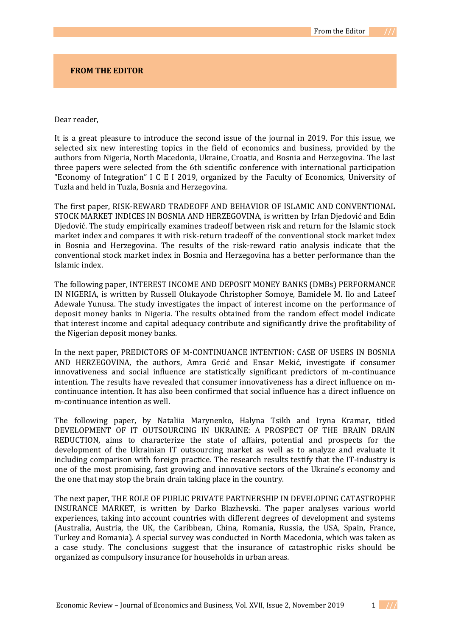#### **FROM THE EDITOR**

#### Dear reader,

It is a great pleasure to introduce the second issue of the journal in 2019. For this issue, we selected six new interesting topics in the field of economics and business, provided by the authors from Nigeria, North Macedonia, Ukraine, Croatia, and Bosnia and Herzegovina. The last three papers were selected from the 6th scientific conference with international participation "Economy of Integration" I C E I 2019, organized by the Faculty of Economics, University of Tuzla and held in Tuzla, Bosnia and Herzegovina.

The first paper, RISK-REWARD TRADEOFF AND BEHAVIOR OF ISLAMIC AND CONVENTIONAL STOCK MARKET INDICES IN BOSNIA AND HERZEGOVINA, is written by Irfan Djedović and Edin Djedović. The study empirically examines tradeoff between risk and return for the Islamic stock market index and compares it with risk-return tradeoff of the conventional stock market index in Bosnia and Herzegovina. The results of the risk-reward ratio analysis indicate that the conventional stock market index in Bosnia and Herzegovina has a better performance than the Islamic index.

The following paper, INTEREST INCOME AND DEPOSIT MONEY BANKS (DMBs) PERFORMANCE IN NIGERIA, is written by Russell Olukayode Christopher Somoye, Bamidele M. Ilo and Lateef Adewale Yunusa. The study investigates the impact of interest income on the performance of deposit money banks in Nigeria. The results obtained from the random effect model indicate that interest income and capital adequacy contribute and significantly drive the profitability of the Nigerian deposit money banks.

In the next paper, PREDICTORS OF M-CONTINUANCE INTENTION: CASE OF USERS IN BOSNIA AND HERZEGOVINA, the authors, Amra Grcić and Ensar Mekić, investigate if consumer innovativeness and social influence are statistically significant predictors of m-continuance intention. The results have revealed that consumer innovativeness has a direct influence on mcontinuance intention. It has also been confirmed that social influence has a direct influence on m-continuance intention as well.

The following paper, by Nataliia Marynenko, Halyna Tsikh and Iryna Kramar, titled DEVELOPMENT OF IT OUTSOURCING IN UKRAINE: A PROSPECT OF THE BRAIN DRAIN REDUCTION, aims to characterize the state of affairs, potential and prospects for the development of the Ukrainian IT outsourcing market as well as to analyze and evaluate it including comparison with foreign practice. The research results testify that the ІТ-industry is one of the most promising, fast growing and innovative sectors of the Ukraine's economy and the one that may stop the brain drain taking place in the country.

The next paper, THE ROLE OF PUBLIC PRIVATE PARTNERSHIP IN DEVELOPING CATASTROPHE INSURANCE MARKET, is written by Darko Blazhevski. The paper analyses various world experiences, taking into account countries with different degrees of development and systems (Australia, Austria, the UK, the Caribbean, China, Romania, Russia, the USA, Spain, France, Turkey and Romania). A special survey was conducted in North Macedonia, which was taken as a case study. The conclusions suggest that the insurance of catastrophic risks should be organized as compulsory insurance for households in urban areas*.*